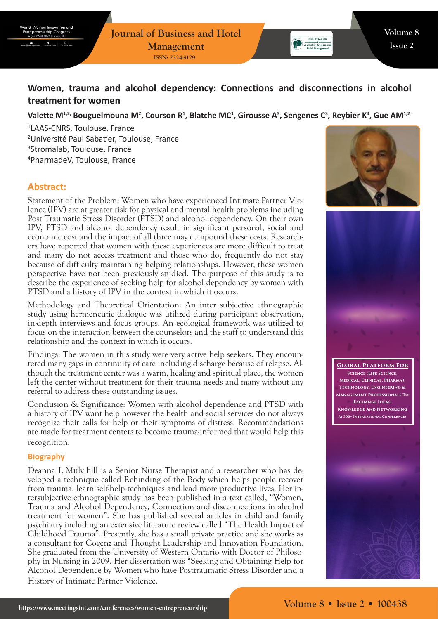**Journal of Business and Hotel Management ISSN: 2324-9129**

# **Women, trauma and alcohol dependency: Connections and disconnections in alcohol treatment for women**

## Valette M<sup>1,2,</sup> Bouguelmouna M<sup>2</sup>, Courson R<sup>1</sup>, Blatche MC<sup>1</sup>, Girousse A<sup>3</sup>, Sengenes C<sup>3</sup>, Reybier K<sup>4</sup>, Gue AM<sup>1,2</sup>

 LAAS-CNRS, Toulouse, France Université Paul Sabatier, Toulouse, France Stromalab, Toulouse, France PharmadeV, Toulouse, France

# **Abstract:**

Statement of the Problem: Women who have experienced Intimate Partner Violence (IPV) are at greater risk for physical and mental health problems including Post Traumatic Stress Disorder (PTSD) and alcohol dependency. On their own IPV, PTSD and alcohol dependency result in significant personal, social and economic cost and the impact of all three may compound these costs. Researchers have reported that women with these experiences are more difficult to treat and many do not access treatment and those who do, frequently do not stay because of difficulty maintaining helping relationships. However, these women perspective have not been previously studied. The purpose of this study is to describe the experience of seeking help for alcohol dependency by women with PTSD and a history of IPV in the context in which it occurs.

Methodology and Theoretical Orientation: An inter subjective ethnographic study using hermeneutic dialogue was utilized during participant observation, in-depth interviews and focus groups. An ecological framework was utilized to focus on the interaction between the counselors and the staff to understand this relationship and the context in which it occurs.

Findings: The women in this study were very active help seekers. They encountered many gaps in continuity of care including discharge because of relapse. Although the treatment center was a warm, healing and spiritual place, the women left the center without treatment for their trauma needs and many without any referral to address these outstanding issues.

Conclusion & Significance: Women with alcohol dependence and PTSD with a history of IPV want help however the health and social services do not always recognize their calls for help or their symptoms of distress. Recommendations are made for treatment centers to become trauma-informed that would help this recognition.

#### **Biography**

Deanna L Mulvihill is a Senior Nurse Therapist and a researcher who has developed a technique called Rebinding of the Body which helps people recover from trauma, learn self-help techniques and lead more productive lives. Her intersubjective ethnographic study has been published in a text called, "Women, Trauma and Alcohol Dependency, Connection and disconnections in alcohol treatment for women". She has published several articles in child and family psychiatry including an extensive literature review called "The Health Impact of Childhood Trauma". Presently, she has a small private practice and she works as a consultant for Cogenz and Thought Leadership and Innovation Foundation. She graduated from the University of Western Ontario with Doctor of Philosophy in Nursing in 2009. Her dissertation was "Seeking and Obtaining Help for Alcohol Dependence by Women who have Posttraumatic Stress Disorder and a History of Intimate Partner Violence.



Journal of Business an



**Global Platform For Science (Life Science, Medical, Clinical, Pharma), Technology, Engineering & Management Professionals To Exchange Ideas, Knowledge And Networking At 300+ International Conferences**